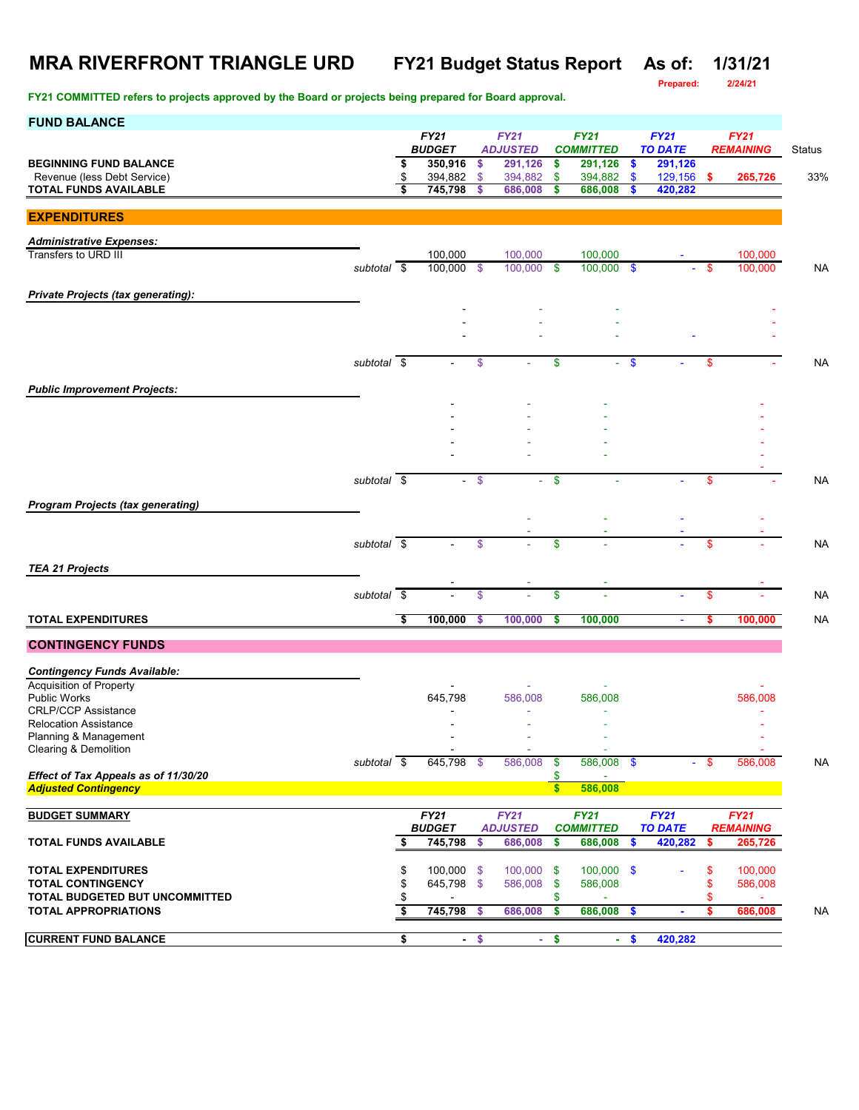# **MRA RIVERFRONT TRIANGLE URD FY21 Budget Status Report As of: 1/31/21**

**FY21 COMMITTED refers to projects approved by the Board or projects being prepared for Board approval.**

**Prepared: 2/24/21**

| <b>FUND BALANCE</b>                                           |                          |          |                              |        |                                |                           |                                 |               |                               |      |                                 |           |
|---------------------------------------------------------------|--------------------------|----------|------------------------------|--------|--------------------------------|---------------------------|---------------------------------|---------------|-------------------------------|------|---------------------------------|-----------|
|                                                               |                          |          | <b>FY21</b><br><b>BUDGET</b> |        | <b>FY21</b><br><b>ADJUSTED</b> |                           | <b>FY21</b><br><b>COMMITTED</b> |               | <b>FY21</b><br><b>TO DATE</b> |      | <b>FY21</b><br><b>REMAINING</b> | Status    |
| <b>BEGINNING FUND BALANCE</b>                                 |                          | \$       | 350,916                      | \$     | 291,126                        | \$                        | 291,126                         | $\frac{1}{2}$ | 291,126                       |      |                                 |           |
| Revenue (less Debt Service)                                   |                          | \$       | 394,882                      | \$     | 394,882                        | \$                        | 394,882                         | \$            | 129,156                       | \$   | 265,726                         | 33%       |
| <b>TOTAL FUNDS AVAILABLE</b>                                  |                          |          | 745,798                      | \$     | 686,008                        | \$                        | 686,008                         | \$            | 420,282                       |      |                                 |           |
| <b>EXPENDITURES</b>                                           |                          |          |                              |        |                                |                           |                                 |               |                               |      |                                 |           |
| <b>Administrative Expenses:</b>                               |                          |          |                              |        |                                |                           |                                 |               |                               |      |                                 |           |
| Transfers to URD III                                          |                          |          | 100,000                      |        | 100,000                        |                           | 100,000                         |               |                               |      | 100,000                         |           |
|                                                               | subtotal $\overline{\$}$ |          | 100,000                      | \$     | 100,000                        | $\mathbf{\$}$             | 100,000                         | $\mathbf{\$}$ |                               | -\$  | 100,000                         | <b>NA</b> |
| <b>Private Projects (tax generating):</b>                     |                          |          |                              |        |                                |                           |                                 |               |                               |      |                                 |           |
|                                                               |                          |          |                              |        |                                |                           |                                 |               |                               |      |                                 |           |
|                                                               |                          |          |                              |        |                                |                           |                                 |               |                               |      |                                 |           |
|                                                               |                          |          |                              |        |                                |                           |                                 |               |                               |      |                                 |           |
|                                                               | subtotal \$              |          |                              | \$     |                                | \$                        |                                 | $\mathbf{\$}$ |                               | \$   |                                 | <b>NA</b> |
|                                                               |                          |          |                              |        |                                |                           |                                 |               |                               |      |                                 |           |
| <b>Public Improvement Projects:</b>                           |                          |          |                              |        |                                |                           |                                 |               |                               |      |                                 |           |
|                                                               |                          |          |                              |        |                                |                           |                                 |               |                               |      |                                 |           |
|                                                               |                          |          |                              |        |                                |                           |                                 |               |                               |      |                                 |           |
|                                                               |                          |          |                              |        |                                |                           |                                 |               |                               |      |                                 |           |
|                                                               |                          |          |                              |        |                                |                           |                                 |               |                               |      |                                 |           |
|                                                               | subtotal $\overline{\$}$ |          |                              | \$     |                                | \$                        |                                 |               |                               | \$   |                                 | <b>NA</b> |
| <b>Program Projects (tax generating)</b>                      |                          |          |                              |        |                                |                           |                                 |               |                               |      |                                 |           |
|                                                               |                          |          |                              |        |                                |                           |                                 |               |                               |      |                                 |           |
|                                                               | subtotal $\overline{\$}$ |          |                              | \$     |                                | \$                        |                                 |               |                               | \$   |                                 | <b>NA</b> |
| <b>TEA 21 Projects</b>                                        |                          |          |                              |        |                                |                           |                                 |               |                               |      |                                 |           |
|                                                               |                          |          |                              |        |                                |                           |                                 |               |                               |      |                                 |           |
|                                                               | subtotal $\overline{\$}$ |          |                              | \$     |                                | \$                        |                                 |               |                               | \$   |                                 | <b>NA</b> |
| <b>TOTAL EXPENDITURES</b>                                     |                          | \$       | 100,000                      | \$     | 100,000                        | \$                        | 100,000                         |               | $\blacksquare$                | s    | 100,000                         | <b>NA</b> |
|                                                               |                          |          |                              |        |                                |                           |                                 |               |                               |      |                                 |           |
| <b>CONTINGENCY FUNDS</b>                                      |                          |          |                              |        |                                |                           |                                 |               |                               |      |                                 |           |
| <b>Contingency Funds Available:</b>                           |                          |          |                              |        |                                |                           |                                 |               |                               |      |                                 |           |
| Acquisition of Property<br><b>Public Works</b>                |                          |          | 645,798                      |        | 586,008                        |                           | 586,008                         |               |                               |      | 586,008                         |           |
| <b>CRLP/CCP Assistance</b>                                    |                          |          |                              |        |                                |                           |                                 |               |                               |      |                                 |           |
| <b>Relocation Assistance</b>                                  |                          |          |                              |        |                                |                           |                                 |               |                               |      |                                 |           |
| Planning & Management<br>Clearing & Demolition                |                          |          |                              |        |                                |                           |                                 |               |                               |      |                                 |           |
|                                                               | subtotal $\sqrt{s}$      |          | 645,798 \$                   |        | 586,008                        | $\boldsymbol{\mathsf{s}}$ | 586,008 \$                      |               |                               | - \$ | 586,008                         | <b>NA</b> |
| Effect of Tax Appeals as of 11/30/20                          |                          |          |                              |        |                                | $\boldsymbol{s}$          | 586,008                         |               |                               |      |                                 |           |
| <b>Adjusted Contingency</b>                                   |                          |          |                              |        |                                |                           |                                 |               |                               |      |                                 |           |
| <b>BUDGET SUMMARY</b>                                         |                          |          | <b>FY21</b>                  |        | <b>FY21</b>                    |                           | <b>FY21</b>                     |               | <b>FY21</b>                   |      | <b>FY21</b>                     |           |
|                                                               |                          |          | <b>BUDGET</b>                |        | <b>ADJUSTED</b>                |                           | <b>COMMITTED</b>                |               | <b>TO DATE</b>                |      | <b>REMAINING</b>                |           |
| <b>TOTAL FUNDS AVAILABLE</b>                                  |                          | \$       | 745,798                      | \$     | 686,008                        | \$                        | 686,008                         | \$            | 420,282                       | \$   | 265,726                         |           |
| <b>TOTAL EXPENDITURES</b>                                     |                          | \$       | 100,000 \$                   |        | $100,000$ \$                   |                           | $100,000$ \$                    |               |                               | \$   | 100,000                         |           |
| <b>TOTAL CONTINGENCY</b>                                      |                          | \$       | 645,798 \$                   |        | 586,008                        | \$                        | 586,008                         |               |                               |      | 586,008                         |           |
| TOTAL BUDGETED BUT UNCOMMITTED<br><b>TOTAL APPROPRIATIONS</b> |                          | \$<br>\$ | 745,798 \$                   |        | 686,008                        | \$<br>\$                  | 686,008                         | -\$           | $\blacksquare$                | S    | $\sim$<br>686,008               | NA        |
|                                                               |                          |          |                              |        |                                |                           |                                 |               |                               |      |                                 |           |
| <b>CURRENT FUND BALANCE</b>                                   |                          | \$       |                              | $-$ \$ |                                | $-$ \$                    |                                 | $-$ \$        | 420,282                       |      |                                 |           |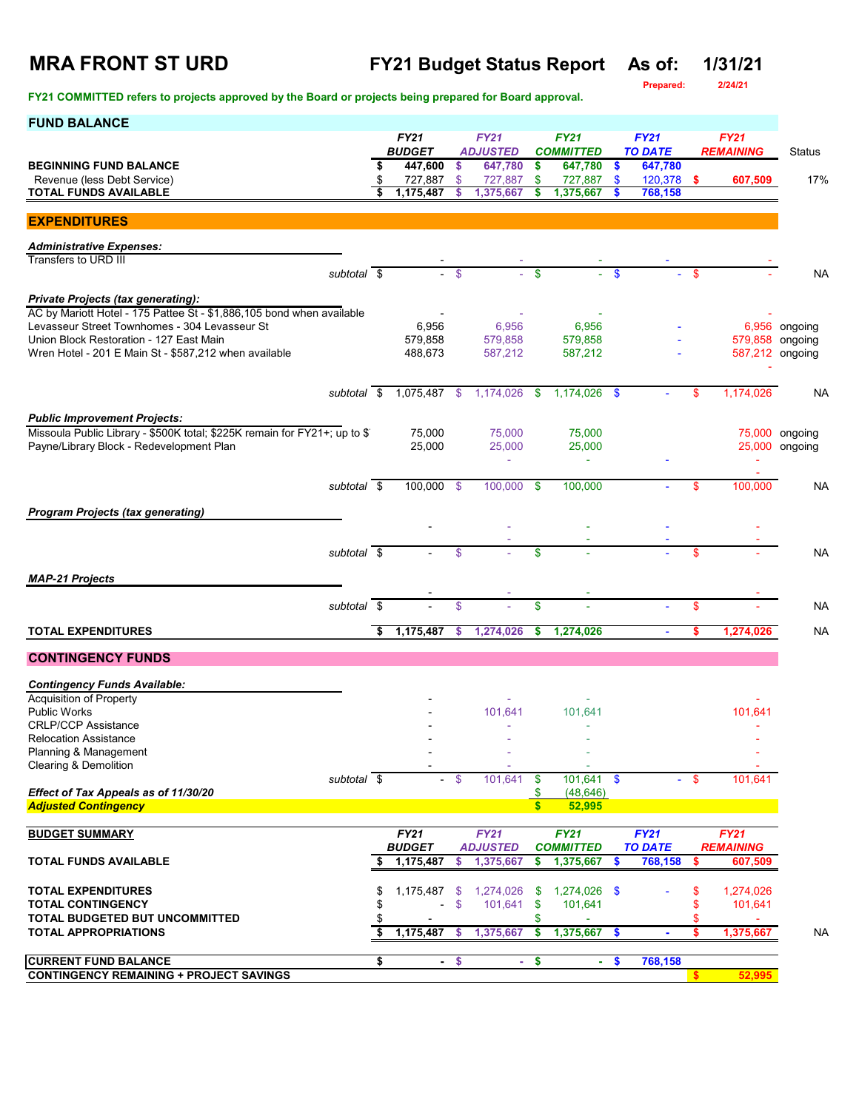# **MRA FRONT ST URD FY21 Budget Status Report As of: 1/31/21**

**FY21 COMMITTED refers to projects approved by the Board or projects being prepared for Board approval.** 

**Prepared: 2/24/21**

| <b>FUND BALANCE</b>                                                                                                   |    |                            |                |                              |                    |                               |               |                           |              |                                    |                                  |
|-----------------------------------------------------------------------------------------------------------------------|----|----------------------------|----------------|------------------------------|--------------------|-------------------------------|---------------|---------------------------|--------------|------------------------------------|----------------------------------|
|                                                                                                                       |    | <b>FY21</b>                |                | <b>FY21</b>                  |                    | <b>FY21</b>                   |               | <b>FY21</b>               |              | <b>FY21</b>                        |                                  |
| <b>BEGINNING FUND BALANCE</b>                                                                                         | \$ | <b>BUDGET</b><br>447,600   | \$             | <b>ADJUSTED</b><br>647,780   | \$                 | <b>COMMITTED</b><br>647,780   | \$            | <b>TO DATE</b><br>647,780 |              | <b>REMAINING</b>                   | Status                           |
| Revenue (less Debt Service)                                                                                           |    | 727,887                    | \$.            | 727,887                      | \$                 | 727,887                       | \$            | 120,378 \$                |              | 607,509                            | 17%                              |
| <b>TOTAL FUNDS AVAILABLE</b>                                                                                          |    | 1,175,487                  | \$             | 1,375,667                    | \$                 | 1,375,667                     | \$            | 768,158                   |              |                                    |                                  |
| <b>EXPENDITURES</b>                                                                                                   |    |                            |                |                              |                    |                               |               |                           |              |                                    |                                  |
| <b>Administrative Expenses:</b>                                                                                       |    |                            |                |                              |                    |                               |               |                           |              |                                    |                                  |
| Transfers to URD III                                                                                                  |    |                            |                |                              |                    |                               |               |                           |              |                                    |                                  |
| subtotal \$                                                                                                           |    |                            | $-$ \$         | $\Delta \phi$                | $\mathbf{s}$       | $\Delta \sim 10^{-1}$         | $\mathbf{s}$  |                           | \$           |                                    | <b>NA</b>                        |
| <b>Private Projects (tax generating):</b>                                                                             |    |                            |                |                              |                    |                               |               |                           |              |                                    |                                  |
| AC by Mariott Hotel - 175 Pattee St - \$1,886,105 bond when available                                                 |    |                            |                |                              |                    |                               |               |                           |              |                                    |                                  |
| Levasseur Street Townhomes - 304 Levasseur St                                                                         |    | 6,956                      |                | 6,956                        |                    | 6,956                         |               |                           |              |                                    | 6,956 ongoing                    |
| Union Block Restoration - 127 East Main<br>Wren Hotel - 201 E Main St - \$587,212 when available                      |    | 579,858<br>488,673         |                | 579,858<br>587,212           |                    | 579,858<br>587,212            |               |                           |              | 579,858 ongoing<br>587,212 ongoing |                                  |
|                                                                                                                       |    |                            |                |                              |                    |                               |               |                           |              |                                    |                                  |
| subtotal \$                                                                                                           |    | 1,075,487 \$               |                | 1,174,026                    | \$                 | 1,174,026                     | -\$           |                           | \$           | 1,174,026                          | NA                               |
|                                                                                                                       |    |                            |                |                              |                    |                               |               |                           |              |                                    |                                  |
| <b>Public Improvement Projects:</b>                                                                                   |    |                            |                |                              |                    |                               |               |                           |              |                                    |                                  |
| Missoula Public Library - \$500K total; \$225K remain for FY21+; up to \$<br>Payne/Library Block - Redevelopment Plan |    | 75,000<br>25,000           |                | 75,000<br>25,000             |                    | 75,000<br>25,000              |               |                           |              |                                    | 75,000 ongoing<br>25,000 ongoing |
|                                                                                                                       |    |                            |                | ä,                           |                    | ÷                             |               |                           |              |                                    |                                  |
|                                                                                                                       |    |                            |                |                              |                    |                               |               |                           |              |                                    |                                  |
| subtotal \$                                                                                                           |    | 100,000 \$                 |                | 100,000 \$                   |                    | 100.000                       |               |                           | \$           | 100,000                            | NA                               |
| <b>Program Projects (tax generating)</b>                                                                              |    |                            |                |                              |                    |                               |               |                           |              |                                    |                                  |
|                                                                                                                       |    |                            |                |                              |                    |                               |               |                           |              |                                    |                                  |
| subtotal $\overline{\$}$                                                                                              |    |                            | $\mathbf{\$}$  |                              | $\mathbf{\$}$      |                               |               |                           | \$           |                                    | <b>NA</b>                        |
|                                                                                                                       |    |                            |                |                              |                    |                               |               |                           |              |                                    |                                  |
| <b>MAP-21 Projects</b>                                                                                                |    |                            |                |                              |                    |                               |               |                           |              |                                    |                                  |
| subtotal \$                                                                                                           |    |                            | \$             |                              | \$                 |                               |               |                           | \$           |                                    | <b>NA</b>                        |
| <b>TOTAL EXPENDITURES</b>                                                                                             |    | 1,175,487                  | \$.            | 1,274,026                    | s                  | 1,274,026                     |               |                           | \$           | 1,274,026                          | <b>NA</b>                        |
| <b>CONTINGENCY FUNDS</b>                                                                                              |    |                            |                |                              |                    |                               |               |                           |              |                                    |                                  |
|                                                                                                                       |    |                            |                |                              |                    |                               |               |                           |              |                                    |                                  |
| <b>Contingency Funds Available:</b><br><b>Acquisition of Property</b>                                                 |    |                            |                |                              |                    |                               |               |                           |              |                                    |                                  |
| <b>Public Works</b>                                                                                                   |    |                            |                | 101,641                      |                    | 101,641                       |               |                           |              | 101,641                            |                                  |
| <b>CRLP/CCP Assistance</b>                                                                                            |    |                            |                |                              |                    |                               |               |                           |              | $\sim$                             |                                  |
| <b>Relocation Assistance</b><br>Planning & Management                                                                 |    |                            |                |                              |                    |                               |               |                           |              |                                    |                                  |
| Clearing & Demolition                                                                                                 |    |                            |                |                              |                    |                               |               |                           |              |                                    |                                  |
| subtotal \$                                                                                                           |    | $\sim$                     | $\mathcal{S}$  | 101,641                      | $\mathbf{\$}$      | 101,641                       | $\mathbf{\$}$ |                           | $-$ \$       | 101,641                            |                                  |
| Effect of Tax Appeals as of 11/30/20<br><b>Adjusted Contingency</b>                                                   |    |                            |                |                              | \$<br>$\mathbf{s}$ | (48, 646)<br>52,995           |               |                           |              |                                    |                                  |
|                                                                                                                       |    |                            |                |                              |                    |                               |               |                           |              |                                    |                                  |
| <b>BUDGET SUMMARY</b>                                                                                                 |    | <b>FY21</b>                |                | <b>FY21</b>                  |                    | <b>FY21</b>                   |               | <b>FY21</b>               |              | <b>FY21</b>                        |                                  |
| <b>TOTAL FUNDS AVAILABLE</b>                                                                                          |    | <b>BUDGET</b><br>1,175,487 | \$             | <b>ADJUSTED</b><br>1,375,667 | \$                 | <b>COMMITTED</b><br>1,375,667 | S             | <b>TO DATE</b><br>768,158 | s            | <b>REMAINING</b><br>607,509        |                                  |
|                                                                                                                       |    |                            |                |                              |                    |                               |               |                           |              |                                    |                                  |
| <b>TOTAL EXPENDITURES</b>                                                                                             | \$ | 1,175,487                  | -\$            | 1,274,026                    | -\$                | 1,274,026 \$                  |               |                           | \$           | 1,274,026                          |                                  |
| <b>TOTAL CONTINGENCY</b>                                                                                              | \$ |                            | $\mathfrak{s}$ | 101,641                      | \$                 | 101,641                       |               |                           | \$           | 101,641                            |                                  |
| TOTAL BUDGETED BUT UNCOMMITTED<br><b>TOTAL APPROPRIATIONS</b>                                                         | S  | 1,175,487                  | - \$           | 1,375,667                    | \$<br>\$           | 1,375,667                     | \$            |                           | \$<br>\$.    | 1,375,667                          | <b>NA</b>                        |
|                                                                                                                       |    |                            |                |                              |                    |                               |               |                           |              |                                    |                                  |
| <b>CURRENT FUND BALANCE</b>                                                                                           | \$ |                            | $-$ \$         | ×.                           | \$                 |                               | $-$ \$        | 768,158                   |              |                                    |                                  |
| <b>CONTINGENCY REMAINING + PROJECT SAVINGS</b>                                                                        |    |                            |                |                              |                    |                               |               |                           | $\mathbf{s}$ | 52,995                             |                                  |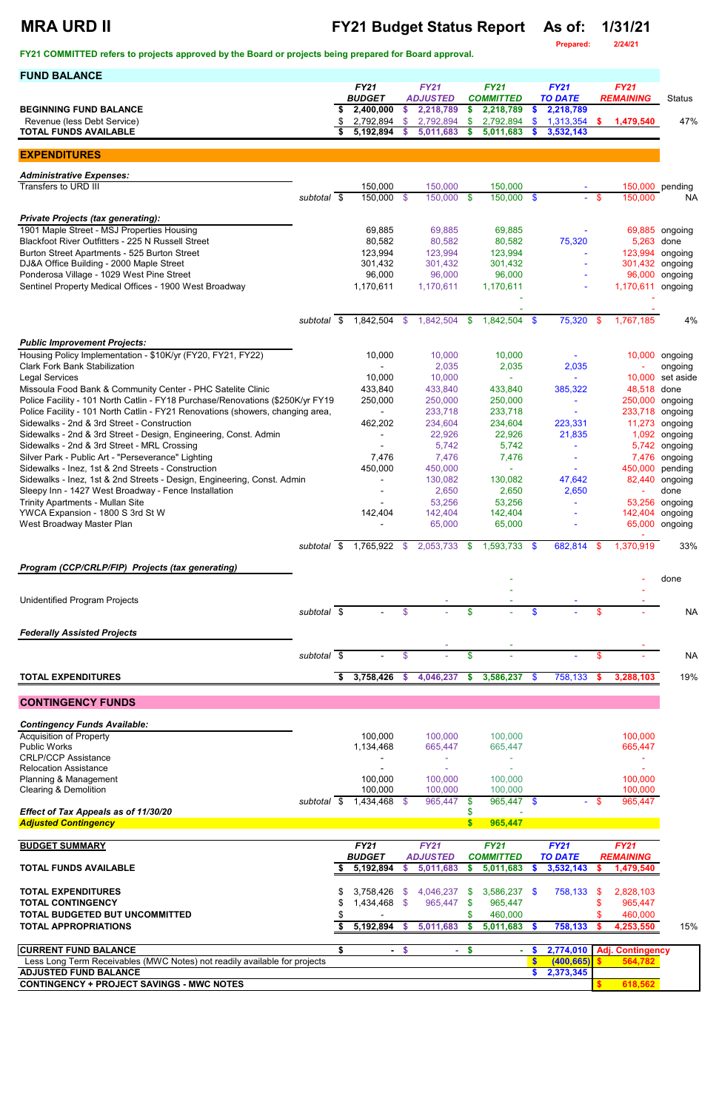## **MRA URD II FY21 Budget Status Report As of: 1/31/21**

**Prepared: 2/24/21**

**FY21 COMMITTED refers to projects approved by the Board or projects being prepared for Board approval.** 

| <b>FUND BALANCE</b>                                                                                                                                              |             |    |                              |                |                                |                           |                                 |                  |                               |      |                                 |                              |
|------------------------------------------------------------------------------------------------------------------------------------------------------------------|-------------|----|------------------------------|----------------|--------------------------------|---------------------------|---------------------------------|------------------|-------------------------------|------|---------------------------------|------------------------------|
|                                                                                                                                                                  |             |    | <b>FY21</b><br><b>BUDGET</b> |                | <b>FY21</b><br><b>ADJUSTED</b> |                           | <b>FY21</b><br><b>COMMITTED</b> |                  | <b>FY21</b><br><b>TO DATE</b> |      | <b>FY21</b><br><b>REMAINING</b> | <b>Status</b>                |
| <b>BEGINNING FUND BALANCE</b>                                                                                                                                    |             | S  | 2,400,000                    | $\frac{1}{2}$  | 2,218,789                      | \$                        | 2,218,789                       | $\boldsymbol{s}$ | 2,218,789                     |      |                                 |                              |
| Revenue (less Debt Service)<br><b>TOTAL FUNDS AVAILABLE</b>                                                                                                      |             |    | 2,792,894<br>5,192,894       | \$<br>S        | 2,792,894<br>5,011,683         | \$<br>\$                  | 2,792,894<br>5,011,683          | <b>S</b><br>S    | 1,313,354<br>3,532,143        | -S   | 1,479,540                       | 47%                          |
|                                                                                                                                                                  |             |    |                              |                |                                |                           |                                 |                  |                               |      |                                 |                              |
| <b>EXPENDITURES</b>                                                                                                                                              |             |    |                              |                |                                |                           |                                 |                  |                               |      |                                 |                              |
| <b>Administrative Expenses:</b>                                                                                                                                  |             |    |                              |                |                                |                           |                                 |                  |                               |      |                                 |                              |
| Transfers to URD III                                                                                                                                             | subtotal \$ |    | 150,000<br>150,000 \$        |                | 150,000<br>150,000 \$          |                           | 150,000<br>150,000 \$           |                  | $\sim$                        | - \$ | 150,000                         | 150,000 pending<br><b>NA</b> |
|                                                                                                                                                                  |             |    |                              |                |                                |                           |                                 |                  |                               |      |                                 |                              |
| <b>Private Projects (tax generating):</b><br>1901 Maple Street - MSJ Properties Housing                                                                          |             |    | 69,885                       |                | 69,885                         |                           | 69,885                          |                  |                               |      |                                 | 69,885 ongoing               |
| Blackfoot River Outfitters - 225 N Russell Street                                                                                                                |             |    | 80,582                       |                | 80,582                         |                           | 80,582                          |                  | 75,320                        |      | 5,263                           | done                         |
| Burton Street Apartments - 525 Burton Street                                                                                                                     |             |    | 123,994                      |                | 123,994                        |                           | 123,994                         |                  |                               |      | 123,994                         | ongoing                      |
| DJ&A Office Building - 2000 Maple Street<br>Ponderosa Village - 1029 West Pine Street                                                                            |             |    | 301,432<br>96,000            |                | 301,432<br>96,000              |                           | 301,432<br>96,000               |                  |                               |      | 301,432<br>96,000               | ongoing<br>ongoing           |
| Sentinel Property Medical Offices - 1900 West Broadway                                                                                                           |             |    | 1,170,611                    |                | 1,170,611                      |                           | 1,170,611                       |                  |                               |      | 1,170,611                       | ongoing                      |
|                                                                                                                                                                  |             |    |                              |                |                                |                           |                                 |                  |                               |      |                                 |                              |
|                                                                                                                                                                  | subtotal \$ |    | 1,842,504                    | $\mathfrak{S}$ | 1,842,504                      | \$                        | 1,842,504                       | $\sqrt{3}$       | 75,320                        | \$   | 1,767,185                       | 4%                           |
|                                                                                                                                                                  |             |    |                              |                |                                |                           |                                 |                  |                               |      |                                 |                              |
| <b>Public Improvement Projects:</b><br>Housing Policy Implementation - \$10K/yr (FY20, FY21, FY22)                                                               |             |    | 10,000                       |                | 10,000                         |                           | 10,000                          |                  |                               |      |                                 | 10,000 ongoing               |
| <b>Clark Fork Bank Stabilization</b>                                                                                                                             |             |    |                              |                | 2,035                          |                           | 2,035                           |                  | 2,035                         |      |                                 | ongoing                      |
| <b>Legal Services</b>                                                                                                                                            |             |    | 10,000                       |                | 10,000                         |                           |                                 |                  |                               |      | 10,000                          | set aside                    |
| Missoula Food Bank & Community Center - PHC Satelite Clinic                                                                                                      |             |    | 433,840                      |                | 433,840                        |                           | 433,840                         |                  | 385,322                       |      | 48,518                          | done                         |
| Police Facility - 101 North Catlin - FY18 Purchase/Renovations (\$250K/yr FY19<br>Police Facility - 101 North Catlin - FY21 Renovations (showers, changing area, |             |    | 250,000                      |                | 250,000<br>233,718             |                           | 250,000<br>233,718              |                  | $\blacksquare$                |      | 250,000<br>233,718              | ongoing<br>ongoing           |
| Sidewalks - 2nd & 3rd Street - Construction                                                                                                                      |             |    | 462,202                      |                | 234,604                        |                           | 234,604                         |                  | 223,331                       |      | 11,273                          | ongoing                      |
| Sidewalks - 2nd & 3rd Street - Design, Engineering, Const. Admin                                                                                                 |             |    |                              |                | 22,926                         |                           | 22,926                          |                  | 21,835                        |      | 1,092                           | ongoing                      |
| Sidewalks - 2nd & 3rd Street - MRL Crossing<br>Silver Park - Public Art - "Perseverance" Lighting                                                                |             |    | 7,476                        |                | 5,742<br>7,476                 |                           | 5,742<br>7,476                  |                  |                               |      | 5,742<br>7,476                  | ongoing<br>ongoing           |
| Sidewalks - Inez, 1st & 2nd Streets - Construction                                                                                                               |             |    | 450,000                      |                | 450,000                        |                           | $\sim$                          |                  |                               |      | 450,000 pending                 |                              |
| Sidewalks - Inez, 1st & 2nd Streets - Design, Engineering, Const. Admin                                                                                          |             |    |                              |                | 130,082                        |                           | 130,082                         |                  | 47,642                        |      |                                 | 82,440 ongoing               |
| Sleepy Inn - 1427 West Broadway - Fence Installation                                                                                                             |             |    |                              |                | 2,650                          |                           | 2,650                           |                  | 2,650                         |      |                                 | done                         |
| <b>Trinity Apartments - Mullan Site</b><br>YWCA Expansion - 1800 S 3rd St W                                                                                      |             |    | 142,404                      |                | 53,256<br>142,404              |                           | 53,256<br>142,404               |                  |                               |      | 53,256<br>142,404               | ongoing<br>ongoing           |
| West Broadway Master Plan                                                                                                                                        |             |    |                              |                | 65,000                         |                           | 65,000                          |                  |                               |      | 65,000                          | ongoing                      |
|                                                                                                                                                                  | subtotal \$ |    | 1,765,922 \$                 |                | 2,053,733                      | -\$                       | $1,593,733$ \$                  |                  | 682,814                       | - \$ | 1,370,919                       | 33%                          |
|                                                                                                                                                                  |             |    |                              |                |                                |                           |                                 |                  |                               |      |                                 |                              |
| Program (CCP/CRLP/FIP) Projects (tax generating)                                                                                                                 |             |    |                              |                |                                |                           |                                 |                  |                               |      |                                 | done                         |
|                                                                                                                                                                  |             |    |                              |                |                                |                           |                                 |                  |                               |      |                                 |                              |
| <b>Unidentified Program Projects</b>                                                                                                                             |             |    |                              |                |                                |                           |                                 |                  |                               |      |                                 |                              |
|                                                                                                                                                                  | subtotal \$ |    |                              | S              |                                | \$                        |                                 |                  |                               | \$.  |                                 | <b>NA</b>                    |
| <b>Federally Assisted Projects</b>                                                                                                                               |             |    |                              |                |                                |                           |                                 |                  |                               |      |                                 |                              |
|                                                                                                                                                                  | subtotal \$ |    |                              | \$             |                                | \$                        |                                 |                  |                               | \$.  |                                 | <b>NA</b>                    |
|                                                                                                                                                                  |             |    |                              |                |                                |                           |                                 |                  |                               |      |                                 |                              |
| <b>TOTAL EXPENDITURES</b>                                                                                                                                        |             | S. | 3,758,426                    | - \$           | 4,046,237                      | $\boldsymbol{\mathsf{s}}$ | 3,586,237                       | $\mathbf{\$}$    | 758,133                       | - 55 | 3,288,103                       | 19%                          |
| <b>CONTINGENCY FUNDS</b>                                                                                                                                         |             |    |                              |                |                                |                           |                                 |                  |                               |      |                                 |                              |
|                                                                                                                                                                  |             |    |                              |                |                                |                           |                                 |                  |                               |      |                                 |                              |
| <b>Contingency Funds Available:</b><br><b>Acquisition of Property</b>                                                                                            |             |    | 100,000                      |                | 100,000                        |                           | 100,000                         |                  |                               |      | 100,000                         |                              |
| <b>Public Works</b>                                                                                                                                              |             |    | 1,134,468                    |                | 665,447                        |                           | 665,447                         |                  |                               |      | 665,447                         |                              |
| <b>CRLP/CCP Assistance</b><br><b>Relocation Assistance</b>                                                                                                       |             |    |                              |                |                                |                           |                                 |                  |                               |      |                                 |                              |
| Planning & Management                                                                                                                                            |             |    | 100,000                      |                | 100,000                        |                           | 100,000                         |                  |                               |      | 100,000                         |                              |
| <b>Clearing &amp; Demolition</b>                                                                                                                                 |             |    | 100,000                      |                | 100,000                        |                           | 100,000                         |                  |                               |      | 100,000                         |                              |
| Effect of Tax Appeals as of 11/30/20                                                                                                                             | subtotal \$ |    | 1,434,468 \$                 |                | 965,447                        | \$<br>S                   | $965,447$ \$                    |                  |                               | - \$ | 965,447                         |                              |
| <b>Adjusted Contingency</b>                                                                                                                                      |             |    |                              |                |                                | \$                        | 965,447                         |                  |                               |      |                                 |                              |
| <b>BUDGET SUMMARY</b>                                                                                                                                            |             |    | <b>FY21</b>                  |                | <b>FY21</b>                    |                           | <b>FY21</b>                     |                  | <b>FY21</b>                   |      | <b>FY21</b>                     |                              |
|                                                                                                                                                                  |             |    | <b>BUDGET</b>                |                | <b>ADJUSTED</b>                |                           | <b>COMMITTED</b>                |                  | <b>TO DATE</b>                |      | <b>REMAINING</b>                |                              |
| <b>TOTAL FUNDS AVAILABLE</b>                                                                                                                                     |             |    | 5,192,894                    | S              | 5,011,683                      | -S                        | 5,011,683                       | <b>S</b>         | 3,532,143                     |      | 1,479,540                       |                              |
| <b>TOTAL EXPENDITURES</b>                                                                                                                                        |             |    | $3,758,426$ \$               |                | 4,046,237 \$                   |                           | 3,586,237 \$                    |                  | 758,133                       | - \$ | 2,828,103                       |                              |
| <b>TOTAL CONTINGENCY</b>                                                                                                                                         |             |    | 1,434,468 \$                 |                | 965,447                        | S.                        | 965,447                         |                  |                               |      | 965,447                         |                              |
| TOTAL BUDGETED BUT UNCOMMITTED                                                                                                                                   |             |    |                              |                |                                | \$                        | 460,000                         |                  |                               |      | 460,000                         |                              |
| <b>TOTAL APPROPRIATIONS</b>                                                                                                                                      |             |    | 5,192,894                    | $\mathbf{s}$   | 5,011,683                      | $\boldsymbol{\mathsf{s}}$ | $5,011,683$ \$                  |                  | 758,133                       | - 5  | 4,253,550                       | 15%                          |
| <b>CURRENT FUND BALANCE</b>                                                                                                                                      |             | \$ |                              | $-$ \$         |                                | $-$ \$                    | $\sim$                          | $\mathbf{s}$     | 2,774,010                     |      | <b>Adj. Contingency</b>         |                              |
| Less Long Term Receivables (MWC Notes) not readily available for projects<br><b>ADJUSTED FUND BALANCE</b>                                                        |             |    |                              |                |                                |                           |                                 | \$               | (400, 665)                    |      | 564,782                         |                              |
| <b>CONTINGENCY + PROJECT SAVINGS - MWC NOTES</b>                                                                                                                 |             |    |                              |                |                                |                           |                                 |                  | \$2,373,345                   |      | 618,562                         |                              |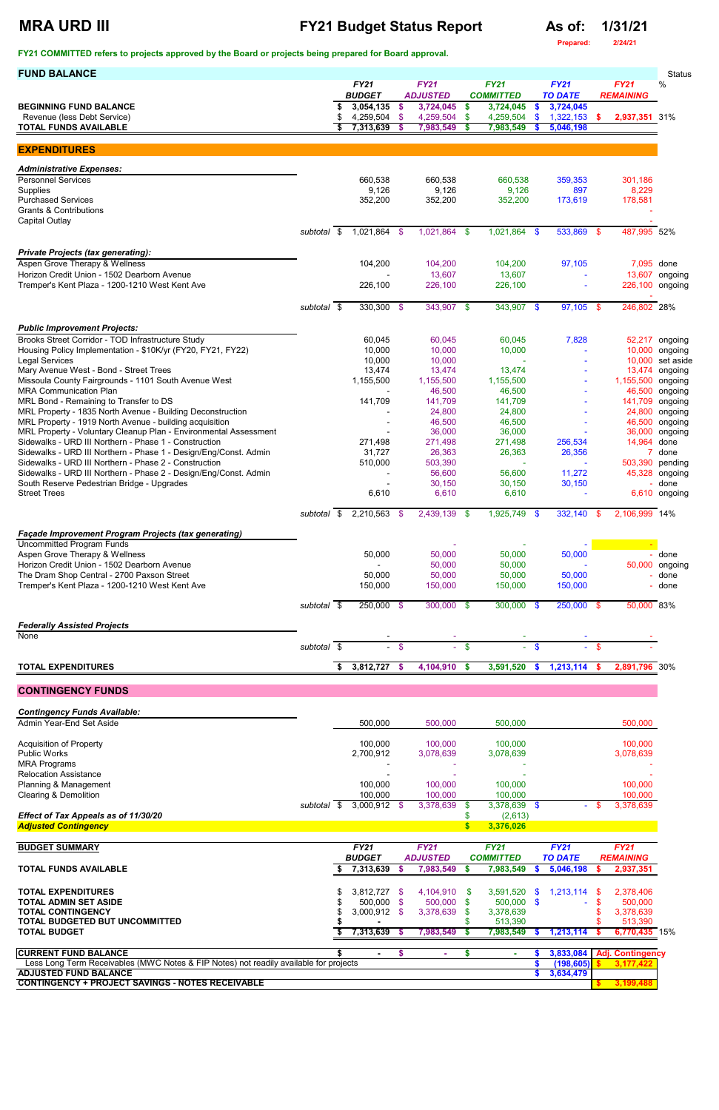### **MRA URD III FY21 Budget Status Report As of: 1/31/21**

**Prepared: 2/24/21**

**FY21 COMMITTED refers to projects approved by the Board or projects being prepared for Board approval.** 

| <b>FUND BALANCE</b>                                                                                                       |             |                                  |               |                              |               |                               |               |                             |        |                           | <b>Status</b>          |
|---------------------------------------------------------------------------------------------------------------------------|-------------|----------------------------------|---------------|------------------------------|---------------|-------------------------------|---------------|-----------------------------|--------|---------------------------|------------------------|
|                                                                                                                           |             | <b>FY21</b>                      |               | <b>FY21</b>                  |               | <b>FY21</b>                   |               | <b>FY21</b>                 |        | <b>FY21</b>               | %                      |
| <b>BEGINNING FUND BALANCE</b>                                                                                             |             | \$<br><b>BUDGET</b><br>3,054,135 | $\sqrt[6]{3}$ | <b>ADJUSTED</b><br>3,724,045 | \$            | <b>COMMITTED</b><br>3,724,045 | \$            | <b>TO DATE</b><br>3,724,045 |        | <b>REMAINING</b>          |                        |
| Revenue (less Debt Service)                                                                                               |             | 4,259,504 \$                     |               | 4,259,504                    | -\$           | 4,259,504                     | \$            | 1,322,153                   | - \$   | 2,937,351 31%             |                        |
| <b>TOTAL FUNDS AVAILABLE</b>                                                                                              |             | 7,313,639                        | -S            | 7,983,549                    | \$            | 7,983,549                     | S             | 5,046,198                   |        |                           |                        |
| <b>EXPENDITURES</b>                                                                                                       |             |                                  |               |                              |               |                               |               |                             |        |                           |                        |
| <b>Administrative Expenses:</b>                                                                                           |             |                                  |               |                              |               |                               |               |                             |        |                           |                        |
| <b>Personnel Services</b>                                                                                                 |             | 660,538                          |               | 660,538                      |               | 660,538                       |               | 359,353                     |        | 301,186                   |                        |
| Supplies<br><b>Purchased Services</b>                                                                                     |             | 9,126<br>352,200                 |               | 9,126<br>352,200             |               | 9,126<br>352,200              |               | 897<br>173,619              |        | 8,229<br>178,581          |                        |
| <b>Grants &amp; Contributions</b>                                                                                         |             |                                  |               |                              |               |                               |               |                             |        |                           |                        |
| <b>Capital Outlay</b>                                                                                                     | subtotal \$ | $1,021,864$ \$                   |               | 1,021,864 \$                 |               | $1,021,864$ \$                |               | 533,869 \$                  |        | 487,995 52%               |                        |
|                                                                                                                           |             |                                  |               |                              |               |                               |               |                             |        |                           |                        |
| <b>Private Projects (tax generating):</b><br>Aspen Grove Therapy & Wellness                                               |             | 104,200                          |               | 104,200                      |               | 104,200                       |               | 97,105                      |        | 7,095 done                |                        |
| Horizon Credit Union - 1502 Dearborn Avenue                                                                               |             |                                  |               | 13,607                       |               | 13,607                        |               |                             |        |                           | 13,607 ongoing         |
| Tremper's Kent Plaza - 1200-1210 West Kent Ave                                                                            |             | 226,100                          |               | 226,100                      |               | 226,100                       |               |                             |        | 226,100 ongoing           |                        |
|                                                                                                                           | subtotal \$ | $330,300$ \$                     |               | 343,907 \$                   |               | 343,907 \$                    |               | $97,105$ \$                 |        | 246,802 28%               |                        |
|                                                                                                                           |             |                                  |               |                              |               |                               |               |                             |        |                           |                        |
| <b>Public Improvement Projects:</b><br>Brooks Street Corridor - TOD Infrastructure Study                                  |             | 60,045                           |               | 60,045                       |               | 60,045                        |               | 7,828                       |        |                           | 52,217 ongoing         |
| Housing Policy Implementation - \$10K/yr (FY20, FY21, FY22)                                                               |             | 10,000                           |               | 10,000                       |               | 10,000                        |               |                             |        | 10,000                    | ongoing                |
| <b>Legal Services</b><br>Mary Avenue West - Bond - Street Trees                                                           |             | 10,000<br>13,474                 |               | 10,000<br>13,474             |               | 13,474                        |               |                             |        | 10,000<br>13,474          | set aside<br>ongoing   |
| Missoula County Fairgrounds - 1101 South Avenue West                                                                      |             | 1,155,500                        |               | 1,155,500                    |               | 1,155,500                     |               |                             |        | 1,155,500                 | ongoing                |
| <b>MRA Communication Plan</b>                                                                                             |             |                                  |               | 46,500                       |               | 46,500                        |               |                             |        | 46,500                    | ongoing                |
| MRL Bond - Remaining to Transfer to DS<br>MRL Property - 1835 North Avenue - Building Deconstruction                      |             | 141,709                          |               | 141,709<br>24,800            |               | 141,709<br>24,800             |               |                             |        | 141,709<br>24,800         | ongoing<br>ongoing     |
| MRL Property - 1919 North Avenue - building acquisition                                                                   |             |                                  |               | 46,500                       |               | 46,500                        |               |                             |        | 46,500                    | ongoing                |
| MRL Property - Voluntary Cleanup Plan - Environmental Assessment<br>Sidewalks - URD III Northern - Phase 1 - Construction |             | 271,498                          |               | 36,000<br>271,498            |               | 36,000<br>271,498             |               | 256,534                     |        | 36,000<br>14,964          | ongoing<br>done        |
| Sidewalks - URD III Northern - Phase 1 - Design/Eng/Const. Admin                                                          |             | 31,727                           |               | 26,363                       |               | 26,363                        |               | 26,356                      |        |                           | 7 done                 |
| Sidewalks - URD III Northern - Phase 2 - Construction<br>Sidewalks - URD III Northern - Phase 2 - Design/Eng/Const. Admin |             | 510,000                          |               | 503,390<br>56,600            |               | 56,600                        |               | 11,272                      |        | 503,390 pending<br>45,328 | ongoing                |
| South Reserve Pedestrian Bridge - Upgrades                                                                                |             |                                  |               | 30,150                       |               | 30,150                        |               | 30,150                      |        |                           | done                   |
| <b>Street Trees</b>                                                                                                       |             | 6,610                            |               | 6,610                        |               | 6,610                         |               |                             |        |                           | 6,610 ongoing          |
|                                                                                                                           | subtotal \$ | 2,210,563 \$                     |               | $2,439,139$ \$               |               | 1,925,749                     | - \$          | 332,140 \$                  |        | 2,106,999 14%             |                        |
| <b>Façade Improvement Program Projects (tax generating)</b>                                                               |             |                                  |               |                              |               |                               |               |                             |        |                           |                        |
| <b>Uncommitted Program Funds</b>                                                                                          |             |                                  |               |                              |               |                               |               |                             |        |                           |                        |
| Aspen Grove Therapy & Wellness<br>Horizon Credit Union - 1502 Dearborn Avenue                                             |             | 50,000                           |               | 50,000<br>50,000             |               | 50,000<br>50,000              |               | 50,000                      |        |                           | done<br>50,000 ongoing |
| The Dram Shop Central - 2700 Paxson Street                                                                                |             | 50,000                           |               | 50,000                       |               | 50,000                        |               | 50,000                      |        |                           | done                   |
| Tremper's Kent Plaza - 1200-1210 West Kent Ave                                                                            |             | 150,000                          |               | 150,000                      |               | 150,000                       |               | 150,000                     |        |                           | done                   |
|                                                                                                                           | subtotal \$ | 250,000 \$                       |               | 300,000 \$                   |               | 300,000 \$                    |               | 250,000 \$                  |        | 50,000 83%                |                        |
| <b>Federally Assisted Projects</b>                                                                                        |             |                                  |               |                              |               |                               |               |                             |        |                           |                        |
| <b>None</b>                                                                                                               | subtotal \$ | $\sim$                           | $\mathcal{S}$ | $\sim$                       | $\mathbf{\$}$ | $\sim$                        | $\mathbf{\$}$ |                             | $-$ \$ |                           |                        |
|                                                                                                                           |             |                                  |               |                              |               |                               |               |                             |        |                           |                        |
| <b>TOTAL EXPENDITURES</b>                                                                                                 |             | \$<br>3,812,727 \$               |               | 4,104,910 \$                 |               | 3,591,520                     | \$            | 1,213,114                   | - \$   | 2,891,796 30%             |                        |
| <b>CONTINGENCY FUNDS</b>                                                                                                  |             |                                  |               |                              |               |                               |               |                             |        |                           |                        |
| <b>Contingency Funds Available:</b>                                                                                       |             |                                  |               |                              |               |                               |               |                             |        |                           |                        |
| Admin Year-End Set Aside                                                                                                  |             | 500,000                          |               | 500,000                      |               | 500,000                       |               |                             |        | 500,000                   |                        |
| <b>Acquisition of Property</b>                                                                                            |             | 100,000                          |               | 100,000                      |               | 100,000                       |               |                             |        | 100,000                   |                        |
| Public Works                                                                                                              |             | 2,700,912                        |               | 3,078,639                    |               | 3,078,639                     |               |                             |        | 3,078,639                 |                        |
| <b>MRA Programs</b><br><b>Relocation Assistance</b>                                                                       |             |                                  |               |                              |               |                               |               |                             |        |                           |                        |
| Planning & Management                                                                                                     |             | 100,000                          |               | 100,000                      |               | 100,000                       |               |                             |        | 100,000                   |                        |
| <b>Clearing &amp; Demolition</b>                                                                                          | subtotal \$ | 100,000<br>$3,000,912$ \$        |               | 100,000<br>3,378,639         | - \$          | 100,000<br>$3,378,639$ \$     |               |                             | $-$ \$ | 100,000<br>3,378,639      |                        |
| 1410000                                                                                                                   |             |                                  |               |                              |               | (0.010)                       |               |                             |        |                           |                        |

| <b>Adiusted Contingency</b>                |  |
|--------------------------------------------|--|
| <b>Ellect of Tax Appeals as 01 TR30/20</b> |  |

| <b>BUDGET SUMMARY</b>                                                                 |     | <b>FY21</b>    | <b>FY21</b> |                 |      | <b>FY21</b>      |               | <b>FY21</b>     |      | <b>FY21</b>             |  |
|---------------------------------------------------------------------------------------|-----|----------------|-------------|-----------------|------|------------------|---------------|-----------------|------|-------------------------|--|
|                                                                                       |     | <b>BUDGET</b>  |             | <b>ADJUSTED</b> |      | <b>COMMITTED</b> |               | <b>TO DATE</b>  |      | <b>REMAINING</b>        |  |
| <b>TOTAL FUNDS AVAILABLE</b>                                                          |     | 7,313,639      |             | 7,983,549       |      | 7,983,549        |               | 5,046,198       |      | 2,937,351               |  |
| <b>TOTAL EXPENDITURES</b>                                                             | \$. | $3,812,727$ \$ |             | 4,104,910       | - \$ | 3,591,520        | <sup>\$</sup> | 1,213,114       | - \$ | 2,378,406               |  |
| <b>TOTAL ADMIN SET ASIDE</b>                                                          |     | 500.000 \$     |             | $500.000$ \$    |      | 500.000          |               | <b>Contract</b> |      | 500,000                 |  |
| <b>TOTAL CONTINGENCY</b>                                                              |     | $3,000,912$ \$ |             | 3,378,639       | S.   | 3,378,639        |               |                 |      | 3,378,639               |  |
| TOTAL BUDGETED BUT UNCOMMITTED                                                        |     |                |             |                 |      | 513.390          |               |                 |      | 513,390                 |  |
| <b>TOTAL BUDGET</b>                                                                   |     | 7,313,639      |             | 7,983,549       |      | 7,983,549        |               | 1.213.114       |      | 6,770,435 15%           |  |
| <b>CURRENT FUND BALANCE</b>                                                           |     |                |             |                 |      |                  |               | 3.833.084       |      | <b>Adj. Contingency</b> |  |
| Less Long Term Receivables (MWC Notes & FIP Notes) not readily available for projects |     |                |             |                 |      |                  |               | (198.605)       |      | 3,177,422               |  |
| <b>ADJUSTED FUND BALANCE</b>                                                          |     |                |             |                 |      |                  |               | 3,634,479       |      |                         |  |
| <b>CONTINGENCY + PROJECT SAVINGS - NOTES RECEIVABLE</b>                               |     |                |             |                 |      |                  |               |                 |      | 3,199,488               |  |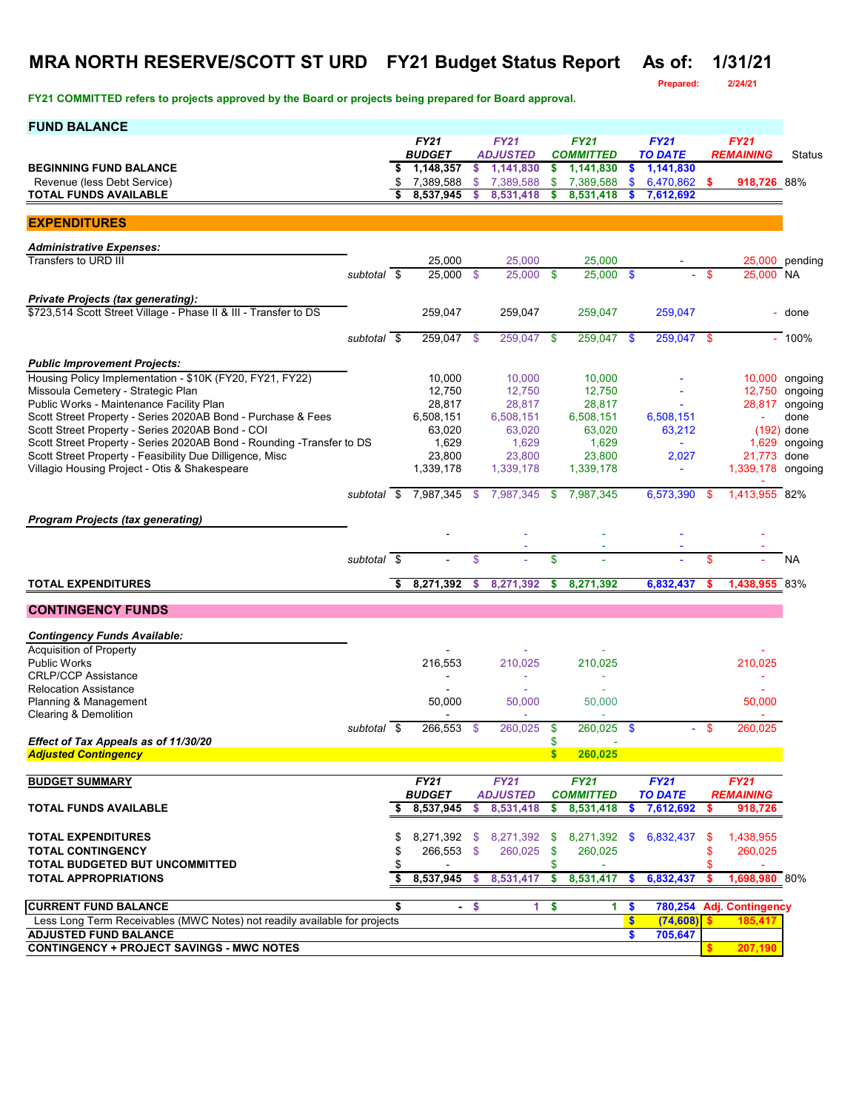## **MRA NORTH RESERVE/SCOTT ST URD FY21 Budget Status Report As of: 1/31/21**

**Prepared: 2/24/21**

**FY21 COMMITTED refers to projects approved by the Board or projects being prepared for Board approval.** 

| <b>FUND BALANCE</b>                                                            |             |                              |               |                                |     |                                 |          |                               |      |                                 |                           |
|--------------------------------------------------------------------------------|-------------|------------------------------|---------------|--------------------------------|-----|---------------------------------|----------|-------------------------------|------|---------------------------------|---------------------------|
|                                                                                |             | <b>FY21</b><br><b>BUDGET</b> |               | <b>FY21</b><br><b>ADJUSTED</b> |     | <b>FY21</b><br><b>COMMITTED</b> |          | <b>FY21</b><br><b>TO DATE</b> |      | <b>FY21</b><br><b>REMAINING</b> |                           |
| <b>BEGINNING FUND BALANCE</b>                                                  |             | \$<br>1,148,357              | \$            | 1,141,830                      | \$  | 1,141,830                       | \$       | 1,141,830                     |      |                                 | Status                    |
| Revenue (less Debt Service)                                                    |             | \$<br>7,389,588              | \$            | 7,389,588                      | \$. | 7,389,588                       | \$       | 6,470,862 \$                  |      | 918,726 88%                     |                           |
| TOTAL FUNDS AVAILABLE                                                          |             | 8,537,945                    | s             | 8,531,418                      | s   | 8,531,418                       |          | 7,612,692                     |      |                                 |                           |
| <b>EXPENDITURES</b>                                                            |             |                              |               |                                |     |                                 |          |                               |      |                                 |                           |
| <b>Administrative Expenses:</b>                                                |             |                              |               |                                |     |                                 |          |                               |      |                                 |                           |
| Transfers to URD III                                                           |             | 25,000                       |               | 25,000                         |     | 25,000                          |          |                               |      |                                 | 25,000 pending            |
|                                                                                | subtotal \$ | 25,000 \$                    |               | 25,000                         | \$  | $25,000$ \$                     |          |                               | - \$ | 25,000 NA                       |                           |
| <b>Private Projects (tax generating):</b>                                      |             |                              |               |                                |     |                                 |          |                               |      |                                 |                           |
| \$723,514 Scott Street Village - Phase II & III - Transfer to DS               |             | 259,047                      |               | 259,047                        |     | 259,047                         |          | 259,047                       |      |                                 | - done                    |
|                                                                                |             | 259,047 \$                   |               |                                |     |                                 |          | 259,047 \$                    |      |                                 | $-100%$                   |
|                                                                                | subtotal \$ |                              |               | 259,047                        | -\$ | 259,047 \$                      |          |                               |      |                                 |                           |
| <b>Public Improvement Projects:</b>                                            |             |                              |               |                                |     |                                 |          |                               |      |                                 |                           |
| Housing Policy Implementation - \$10K (FY20, FY21, FY22)                       |             | 10,000                       |               | 10,000                         |     | 10,000                          |          |                               |      |                                 | 10,000 ongoing            |
| Missoula Cemetery - Strategic Plan<br>Public Works - Maintenance Facility Plan |             | 12,750<br>28,817             |               | 12,750<br>28,817               |     | 12,750<br>28,817                |          |                               |      | 28,817                          | 12,750 ongoing<br>ongoing |
| Scott Street Property - Series 2020AB Bond - Purchase & Fees                   |             | 6,508,151                    |               | 6,508,151                      |     | 6,508,151                       |          | 6,508,151                     |      |                                 | done                      |
| Scott Street Property - Series 2020AB Bond - COI                               |             | 63,020                       |               | 63,020                         |     | 63,020                          |          | 63,212                        |      |                                 | $(192)$ done              |
| Scott Street Property - Series 2020AB Bond - Rounding -Transfer to DS          |             | 1,629                        |               | 1,629                          |     | 1,629                           |          | $\omega$                      |      |                                 | 1,629 ongoing             |
| Scott Street Property - Feasibility Due Dilligence, Misc                       |             | 23,800                       |               | 23,800                         |     | 23,800                          |          | 2,027                         |      | 21,773                          | done                      |
| Villagio Housing Project - Otis & Shakespeare                                  |             | 1,339,178                    |               | 1,339,178                      |     | 1,339,178                       |          | ÷                             |      | 1,339,178 ongoing               |                           |
|                                                                                | subtotal \$ | 7,987,345                    | \$            | 7,987,345                      | \$  | 7,987,345                       |          | 6,573,390                     | - \$ | 1,413,955 82%                   |                           |
|                                                                                |             |                              |               |                                |     |                                 |          |                               |      |                                 |                           |
| <b>Program Projects (tax generating)</b>                                       |             |                              |               |                                |     |                                 |          |                               |      |                                 |                           |
|                                                                                |             |                              |               |                                |     |                                 |          |                               |      |                                 |                           |
|                                                                                | subtotal \$ |                              | $\mathsf{\$}$ |                                | \$  |                                 |          |                               | \$   |                                 | <b>NA</b>                 |
| <b>TOTAL EXPENDITURES</b>                                                      |             | \$<br>8,271,392              | S             | 8,271,392                      | \$  | 8,271,392                       |          | 6,832,437                     |      | 1,438,955 83%                   |                           |
| <b>CONTINGENCY FUNDS</b>                                                       |             |                              |               |                                |     |                                 |          |                               |      |                                 |                           |
|                                                                                |             |                              |               |                                |     |                                 |          |                               |      |                                 |                           |
| <b>Contingency Funds Available:</b><br><b>Acquisition of Property</b>          |             |                              |               |                                |     |                                 |          |                               |      |                                 |                           |
| <b>Public Works</b>                                                            |             | 216,553                      |               | 210,025                        |     | 210,025                         |          |                               |      | 210,025                         |                           |
| <b>CRLP/CCP Assistance</b>                                                     |             |                              |               |                                |     |                                 |          |                               |      |                                 |                           |
| <b>Relocation Assistance</b>                                                   |             |                              |               |                                |     |                                 |          |                               |      |                                 |                           |
| Planning & Management                                                          |             | 50,000                       |               | 50,000                         |     | 50,000                          |          |                               |      | 50,000                          |                           |
| Clearing & Demolition                                                          |             |                              |               |                                |     |                                 |          |                               |      |                                 |                           |
| Effect of Tax Appeals as of 11/30/20                                           | subtotal \$ | 266,553                      | \$            | 260,025                        | -\$ | 260,025 \$                      |          |                               | - \$ | 260,025                         |                           |
| <b>Adjusted Contingency</b>                                                    |             |                              |               |                                | \$  | 260,025                         |          |                               |      |                                 |                           |
| <b>BUDGET SUMMARY</b>                                                          |             | <b>FY21</b>                  |               | FY21                           |     | <b>FY21</b>                     |          | FY21                          |      | FY21                            |                           |
|                                                                                |             | <i><b>BUDGET</b></i>         |               | <b>ADJUSTED</b>                |     | <b>COMMITTED</b>                |          | <b>TO DATE</b>                |      | <b>REMAINING</b>                |                           |
| <b>TOTAL FUNDS AVAILABLE</b>                                                   |             | \$<br>8,537,945              | \$            | 8,531,418                      | \$  | 8,531,418                       | S        | 7,612,692                     | S    | 918,726                         |                           |
|                                                                                |             |                              |               |                                |     |                                 |          |                               |      |                                 |                           |
| <b>TOTAL EXPENDITURES</b>                                                      |             | \$                           |               | 8,271,392 \$ 8,271,392         | \$  |                                 |          | 8,271,392 \$ 6,832,437 \$     |      | 1,438,955                       |                           |
| <b>TOTAL CONTINGENCY</b>                                                       |             | 266,553 \$                   |               | 260,025                        | -\$ | 260,025                         |          |                               | \$   | 260,025                         |                           |
| <b>TOTAL BUDGETED BUT UNCOMMITTED</b>                                          |             | \$<br>8,537,945              |               | 8,531,417                      | \$  |                                 |          |                               | \$   | $\sim$ $\sim$                   |                           |
| <b>TOTAL APPROPRIATIONS</b>                                                    |             | \$                           | \$.           |                                | \$  | 8,531,417                       | <b>S</b> | 6,832,437                     |      | 1,698,980 80%                   |                           |
| <b>CURRENT FUND BALANCE</b>                                                    |             | \$                           | - \$          | 1.                             | S.  | 1.                              | \$       |                               |      | 780,254 Adj. Contingency        |                           |
| Less Long Term Receivables (MWC Notes) not readily available for projects      |             |                              |               |                                |     |                                 | \$       | (74, 608)                     |      | 185,417                         |                           |
| <b>ADJUSTED FUND BALANCE</b>                                                   |             |                              |               |                                |     |                                 | \$       | 705,647                       |      |                                 |                           |
| <b>CONTINGENCY + PROJECT SAVINGS - MWC NOTES</b>                               |             |                              |               |                                |     |                                 |          |                               | \$.  | 207,190                         |                           |